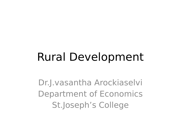# Rural Development

Dr.J.vasantha Arockiaselvi Department of Economics St.Joseph's College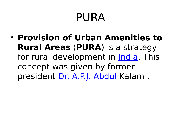# PURA

• **Provision of Urban Amenities to Rural Areas** (**PURA**) is a strategy for rural development in **India**. This concept was given by former president Dr. A.P.J. Abdul Kalam.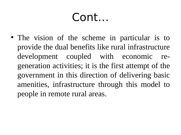• The vision of the scheme in particular is to provide the dual benefits like rural infrastructure development coupled with economic regeneration activities; it is the first attempt of the government in this direction of delivering basic amenities, infrastructure through this model to people in remote rural areas.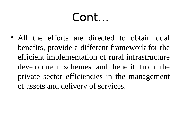• All the efforts are directed to obtain dual benefits, provide a different framework for the efficient implementation of rural infrastructure development schemes and benefit from the private sector efficiencies in the management of assets and delivery of services.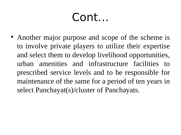• Another major purpose and scope of the scheme is to involve private players to utilize their expertise and select them to develop livelihood opportunities, urban amenities and infrastructure facilities to prescribed service levels and to be responsible for maintenance of the same for a period of ten years in select Panchayat(s)/cluster of Panchayats.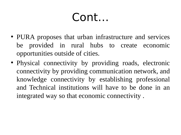- PURA proposes that urban infrastructure and services be provided in rural hubs to create economic opportunities outside of cities.
- Physical connectivity by providing roads, electronic connectivity by providing communication network, and knowledge connectivity by establishing professional and Technical institutions will have to be done in an integrated way so that economic connectivity .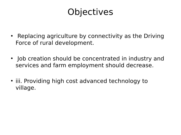#### **Objectives**

- Replacing agriculture by connectivity as the Driving Force of rural development.
- Job creation should be concentrated in industry and services and farm employment should decrease.
- iii. Providing high cost advanced technology to village.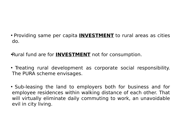• Providing same per capita **[INVESTMENT](http://www.preservearticles.com/2012032528863/what-are-the-major-objectives-of-pura.html)** to rural areas as cities do.

•Rural fund are for **[INVESTMENT](http://www.preservearticles.com/2012032528863/what-are-the-major-objectives-of-pura.html)** not for consumption.

• Treating rural development as corporate social responsibility. The PURA scheme envisages.

• Sub-leasing the land to employers both for business and for employee residences within walking distance of each other. That will virtually eliminate daily commuting to work, an unavoidable evil in city living.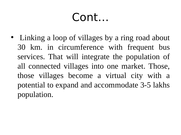• Linking a loop of villages by a ring road about 30 km. in circumference with frequent bus services. That will integrate the population of all connected villages into one market. Those, those villages become a virtual city with a potential to expand and accommodate 3-5 lakhs population.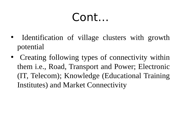- Identification of village clusters with growth potential
- Creating following types of connectivity within them i.e., Road, Transport and Power; Electronic (IT, Telecom); Knowledge (Educational Training Institutes) and Market Connectivity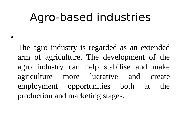### Agro-based industries

•

The agro industry is regarded as an extended arm of agriculture. The development of the agro industry can help stabilise and make agriculture more lucrative and create employment opportunities both at the production and marketing stages.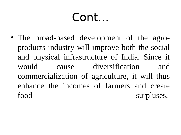• The broad-based development of the agroproducts industry will improve both the social and physical infrastructure of India. Since it cause diversification would and commercialization of agriculture, it will thus enhance the incomes of farmers and create food surpluses.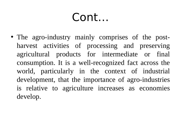• The agro-industry mainly comprises of the postharvest activities of processing and preserving agricultural products for intermediate or final consumption. It is a well-recognized fact across the world, particularly in the context of industrial development, that the importance of agro-industries is relative to agriculture increases as economies develop.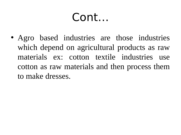• Agro based industries are those industries which depend on agricultural products as raw materials ex: cotton textile industries use cotton as raw materials and then process them to make dresses.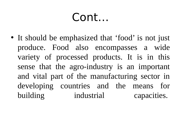• It should be emphasized that 'food' is not just produce. Food also encompasses a wide variety of processed products. It is in this sense that the agro-industry is an important and vital part of the manufacturing sector in developing countries and the means for building industrial capacities.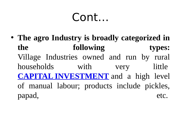• The agro Industry is broadly categorized in the following types: Village Industries owned and run by rural households with little very **CAPITAL INVESTMENT** and a high level of manual labour; products include pickles, papad, etc.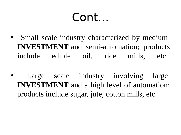- Small scale industry characterized by medium **[INVESTMENT](http://www.agriculturalproductsindia.com/agro/agro-scenario.html)** and semi-automation; products include edible oil, rice mills, etc.
- Large scale industry involving large **[INVESTMENT](http://www.agriculturalproductsindia.com/agro/agro-scenario.html)** and a high level of automation; products include sugar, jute, cotton mills, etc.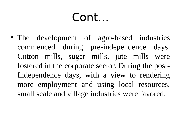• The development of agro-based industries commenced during pre-independence days. Cotton mills, sugar mills, jute mills were fostered in the corporate sector. During the post-Independence days, with a view to rendering more employment and using local resources, small scale and village industries were favored.